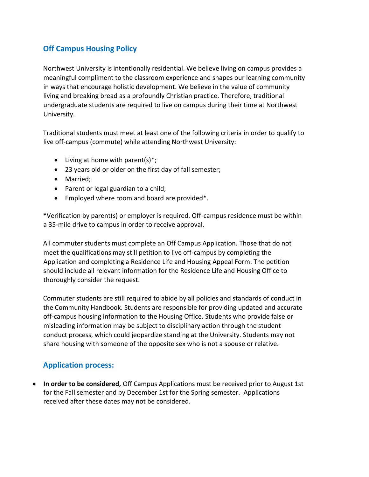## **Off Campus Housing Policy**

Northwest University is intentionally residential. We believe living on campus provides a meaningful compliment to the classroom experience and shapes our learning community in ways that encourage holistic development. We believe in the value of community living and breaking bread as a profoundly Christian practice. Therefore, traditional undergraduate students are required to live on campus during their time at Northwest University.

Traditional students must meet at least one of the following criteria in order to qualify to live off-campus (commute) while attending Northwest University:

- Living at home with parent(s) $*$ ;
- 23 years old or older on the first day of fall semester;
- Married;
- Parent or legal guardian to a child;
- Employed where room and board are provided\*.

\*Verification by parent(s) or employer is required. Off-campus residence must be within a 35-mile drive to campus in order to receive approval.

All commuter students must complete an Off Campus Application. Those that do not meet the qualifications may still petition to live off-campus by completing the Application and completing a Residence Life and Housing Appeal Form. The petition should include all relevant information for the Residence Life and Housing Office to thoroughly consider the request.

Commuter students are still required to abide by all policies and standards of conduct in the Community Handbook. Students are responsible for providing updated and accurate off-campus housing information to the Housing Office. Students who provide false or misleading information may be subject to disciplinary action through the student conduct process, which could jeopardize standing at the University. Students may not share housing with someone of the opposite sex who is not a spouse or relative.

## **Application process:**

• **In order to be considered,** Off Campus Applications must be received prior to August 1st for the Fall semester and by December 1st for the Spring semester. Applications received after these dates may not be considered.